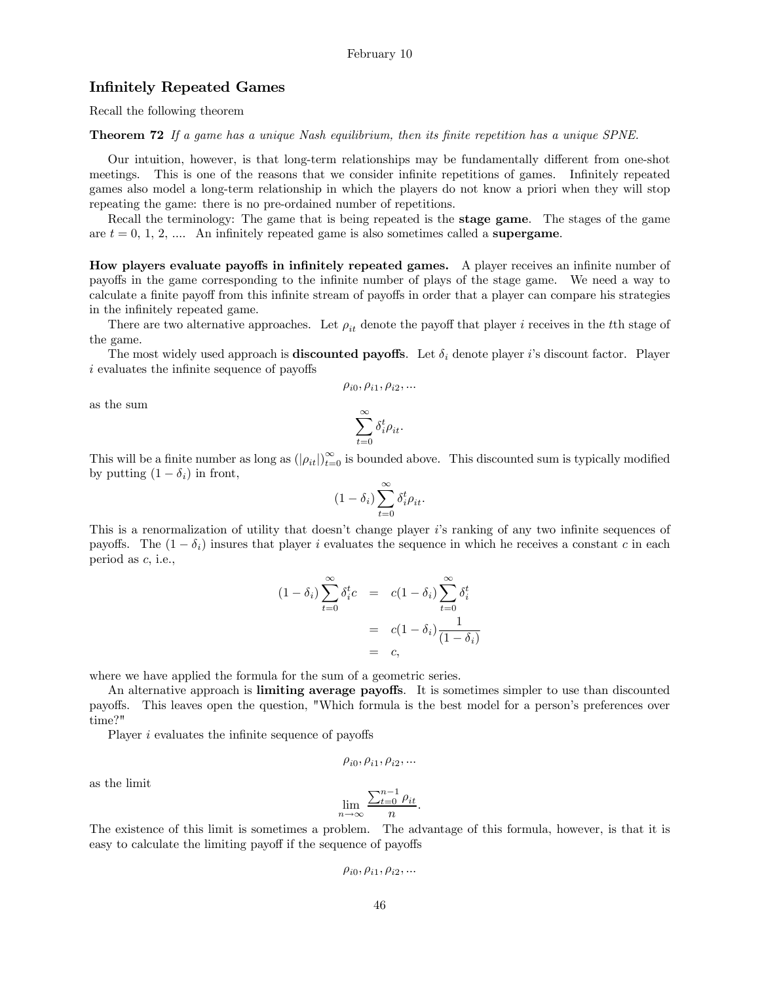# Infinitely Repeated Games

Recall the following theorem

Theorem 72 If a game has a unique Nash equilibrium, then its finite repetition has a unique SPNE.

Our intuition, however, is that long-term relationships may be fundamentally different from one-shot meetings. This is one of the reasons that we consider infinite repetitions of games. Infinitely repeated games also model a long-term relationship in which the players do not know a priori when they will stop repeating the game: there is no pre-ordained number of repetitions.

Recall the terminology: The game that is being repeated is the **stage game**. The stages of the game are  $t = 0, 1, 2, \dots$ . An infinitely repeated game is also sometimes called a **supergame**.

How players evaluate payoffs in infinitely repeated games. A player receives an infinite number of payoffs in the game corresponding to the infinite number of plays of the stage game. We need a way to calculate a finite payoff from this infinite stream of payoffs in order that a player can compare his strategies in the infinitely repeated game.

There are two alternative approaches. Let  $\rho_{it}$  denote the payoff that player *i* receives in the the stage of the game.

The most widely used approach is **discounted payoffs**. Let  $\delta_i$  denote player i's discount factor. Player  $i$  evaluates the infinite sequence of payoffs

$$
\rho_{i0}, \rho_{i1}, \rho_{i2}, \dots
$$

as the sum

$$
\sum_{t=0}^{\infty} \delta_i^t \rho_{it}.
$$

This will be a finite number as long as  $(|\rho_{it}|)_{t=0}^{\infty}$  is bounded above. This discounted sum is typically modified by putting  $(1 - \delta_i)$  in front,

$$
(1 - \delta_i) \sum_{t=0}^{\infty} \delta_i^t \rho_{it}.
$$

This is a renormalization of utility that doesn't change player i's ranking of any two infinite sequences of payoffs. The  $(1 - \delta_i)$  insures that player *i* evaluates the sequence in which he receives a constant *c* in each period as  $c$ , i.e.,

$$
(1 - \delta_i) \sum_{t=0}^{\infty} \delta_i^t c = c(1 - \delta_i) \sum_{t=0}^{\infty} \delta_i^t
$$

$$
= c(1 - \delta_i) \frac{1}{(1 - \delta_i)}
$$

$$
= c,
$$

where we have applied the formula for the sum of a geometric series.

An alternative approach is limiting average payoffs. It is sometimes simpler to use than discounted payoffs. This leaves open the question, "Which formula is the best model for a person's preferences over time?"

Player  $i$  evaluates the infinite sequence of payoffs

$$
\rho_{i0}, \rho_{i1}, \rho_{i2}, \ldots
$$

as the limit

$$
\lim_{n \to \infty} \frac{\sum_{t=0}^{n-1} \rho_{it}}{n}.
$$

The existence of this limit is sometimes a problem. The advantage of this formula, however, is that it is easy to calculate the limiting payoff if the sequence of payoffs

$$
\rho_{i0}, \rho_{i1}, \rho_{i2}, \dots
$$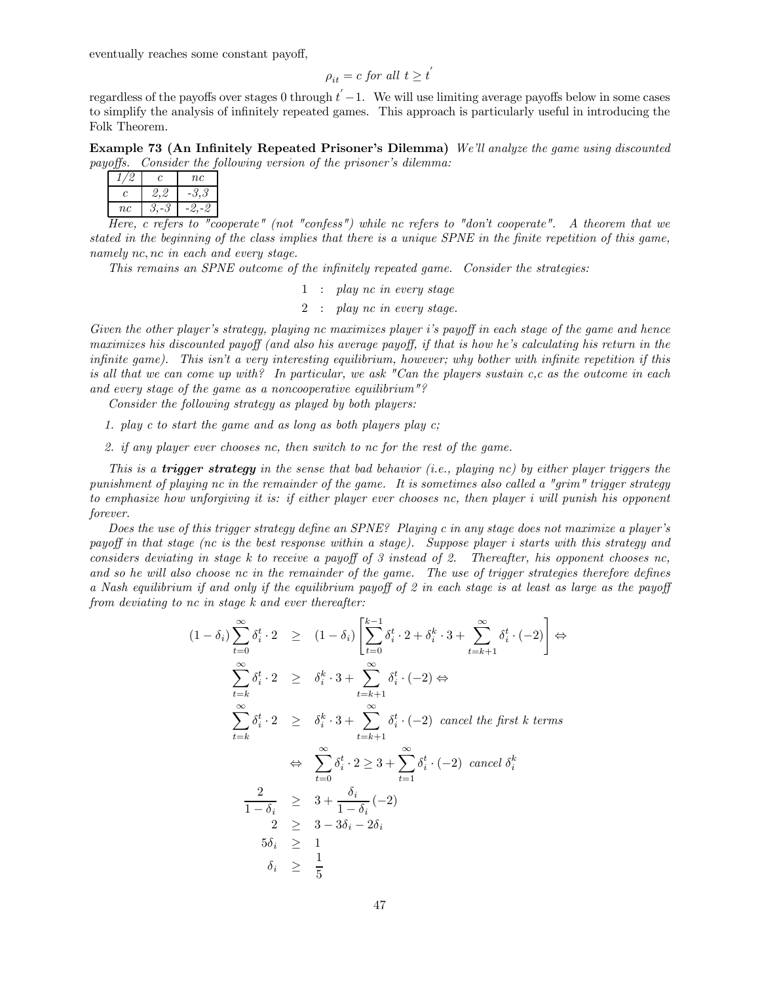eventually reaches some constant payoff,

$$
\rho_{it} = c \text{ for all } t \ge t^{'}
$$

regardless of the payoffs over stages 0 through  $t' - 1$ . We will use limiting average payoffs below in some cases to simplify the analysis of infinitely repeated games. This approach is particularly useful in introducing the Folk Theorem.

Example 73 (An Infinitely Repeated Prisoner's Dilemma) We'll analyze the game using discounted payoffs. Consider the following version of the prisoner's dilemma:

|    | II.    | nc |
|----|--------|----|
| C. |        |    |
| nc |        |    |
|    | $\sim$ |    |

Here, c refers to "cooperate" (not "confess") while nc refers to "don't cooperate". A theorem that we stated in the beginning of the class implies that there is a unique SPNE in the finite repetition of this game, namely  $nc, nc$  in each and every stage.

This remains an SPNE outcome of the infinitely repeated game. Consider the strategies:

- 1 : play nc in every stage
- 2 : play nc in every stage.

Given the other player's strategy, playing nc maximizes player i's payoff in each stage of the game and hence maximizes his discounted payoff (and also his average payoff, if that is how he's calculating his return in the infinite game). This isn't a very interesting equilibrium, however; why bother with infinite repetition if this is all that we can come up with? In particular, we ask "Can the players sustain  $c, c$  as the outcome in each and every stage of the game as a noncooperative equilibrium"?

Consider the following strategy as played by both players:

- 1. play c to start the game and as long as both players play c;
- 2. if any player ever chooses nc, then switch to nc for the rest of the game.

This is a **trigger strategy** in the sense that bad behavior (i.e., playing nc) by either player triggers the punishment of playing nc in the remainder of the game. It is sometimes also called a "grim" trigger strategy to emphasize how unforgiving it is: if either player ever chooses nc, then player i will punish his opponent forever.

Does the use of this trigger strategy define an SPNE? Playing c in any stage does not maximize a player's payoff in that stage (nc is the best response within a stage). Suppose player i starts with this strategy and considers deviating in stage  $k$  to receive a payoff of 3 instead of 2. Thereafter, his opponent chooses nc, and so he will also choose nc in the remainder of the game. The use of trigger strategies therefore defines a Nash equilibrium if and only if the equilibrium payoff of 2 in each stage is at least as large as the payoff from deviating to nc in stage k and ever thereafter:

$$
(1 - \delta_i) \sum_{t=0}^{\infty} \delta_i^t \cdot 2 \geq (1 - \delta_i) \left[ \sum_{t=0}^{k-1} \delta_i^t \cdot 2 + \delta_i^k \cdot 3 + \sum_{t=k+1}^{\infty} \delta_i^t \cdot (-2) \right] \Leftrightarrow
$$
  

$$
\sum_{t=k}^{\infty} \delta_i^t \cdot 2 \geq \delta_i^k \cdot 3 + \sum_{t=k+1}^{\infty} \delta_i^t \cdot (-2) \Leftrightarrow
$$
  

$$
\sum_{t=k}^{\infty} \delta_i^t \cdot 2 \geq \delta_i^k \cdot 3 + \sum_{t=k+1}^{\infty} \delta_i^t \cdot (-2) \text{ cancel the first } k \text{ terms}
$$
  

$$
\Leftrightarrow \sum_{t=0}^{\infty} \delta_i^t \cdot 2 \geq 3 + \sum_{t=1}^{\infty} \delta_i^t \cdot (-2) \text{ cancel } \delta_i^k
$$
  

$$
\frac{2}{1 - \delta_i} \geq 3 + \frac{\delta_i}{1 - \delta_i} \cdot (-2)
$$
  

$$
2 \geq 3 - 3\delta_i - 2\delta_i
$$
  

$$
5\delta_i \geq 1
$$
  

$$
\delta_i \geq \frac{1}{5}
$$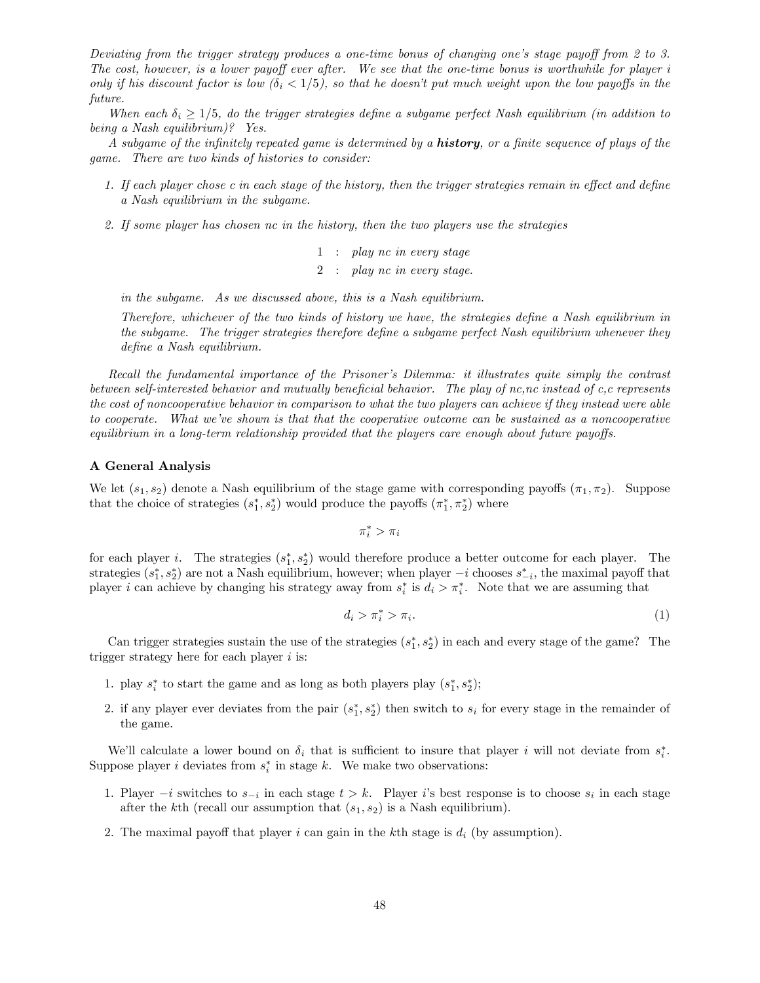Deviating from the trigger strategy produces a one-time bonus of changing one's stage payoff from 2 to 3. The cost, however, is a lower payoff ever after. We see that the one-time bonus is worthwhile for player i only if his discount factor is low  $(\delta_i < 1/5)$ , so that he doesn't put much weight upon the low payoffs in the future.

When each  $\delta_i \geq 1/5$ , do the trigger strategies define a subgame perfect Nash equilibrium (in addition to being a Nash equilibrium)? Yes.

A subgame of the infinitely repeated game is determined by a **history**, or a finite sequence of plays of the game. There are two kinds of histories to consider:

- 1. If each player chose c in each stage of the history, then the trigger strategies remain in effect and define a Nash equilibrium in the subgame.
- 2. If some player has chosen nc in the history, then the two players use the strategies
	- 1 : play nc in every stage 2 : play nc in every stage.

in the subgame. As we discussed above, this is a Nash equilibrium.

Therefore, whichever of the two kinds of history we have, the strategies define a Nash equilibrium in the subgame. The trigger strategies therefore define a subgame perfect Nash equilibrium whenever they define a Nash equilibrium.

Recall the fundamental importance of the Prisoner's Dilemma: it illustrates quite simply the contrast between self-interested behavior and mutually beneficial behavior. The play of nc,nc instead of c,c represents the cost of noncooperative behavior in comparison to what the two players can achieve if they instead were able to cooperate. What we've shown is that that the cooperative outcome can be sustained as a noncooperative equilibrium in a long-term relationship provided that the players care enough about future payoffs.

### A General Analysis

We let  $(s_1, s_2)$  denote a Nash equilibrium of the stage game with corresponding payoffs  $(\pi_1, \pi_2)$ . Suppose that the choice of strategies  $(s_1^*, s_2^*)$  would produce the payoffs  $(\pi_1^*, \pi_2^*)$  where

$$
\pi^*_i > \pi_i
$$

for each player *i*. The strategies  $(s_1^*, s_2^*)$  would therefore produce a better outcome for each player. The strategies  $(s_1^*, s_2^*)$  are not a Nash equilibrium, however; when player  $-i$  chooses  $s_{-i}^*$ , the maximal payoff that player *i* can achieve by changing his strategy away from  $s_i^*$  is  $d_i > \pi_i^*$ . Note that we are assuming that

$$
d_i > \pi_i^* > \pi_i. \tag{1}
$$

Can trigger strategies sustain the use of the strategies  $(s_1^*, s_2^*)$  in each and every stage of the game? The trigger strategy here for each player  $i$  is:

- 1. play  $s_i^*$  to start the game and as long as both players play  $(s_1^*, s_2^*)$ ;
- 2. if any player ever deviates from the pair  $(s_1^*, s_2^*)$  then switch to  $s_i$  for every stage in the remainder of the game.

We'll calculate a lower bound on  $\delta_i$  that is sufficient to insure that player *i* will not deviate from  $s_i^*$ . Suppose player *i* deviates from  $s_i^*$  in stage k. We make two observations:

- 1. Player  $-i$  switches to  $s_{-i}$  in each stage  $t > k$ . Player is best response is to choose  $s_i$  in each stage after the k<sup>th</sup> (recall our assumption that  $(s_1, s_2)$  is a Nash equilibrium).
- 2. The maximal payoff that player  $i$  can gain in the kth stage is  $d_i$  (by assumption).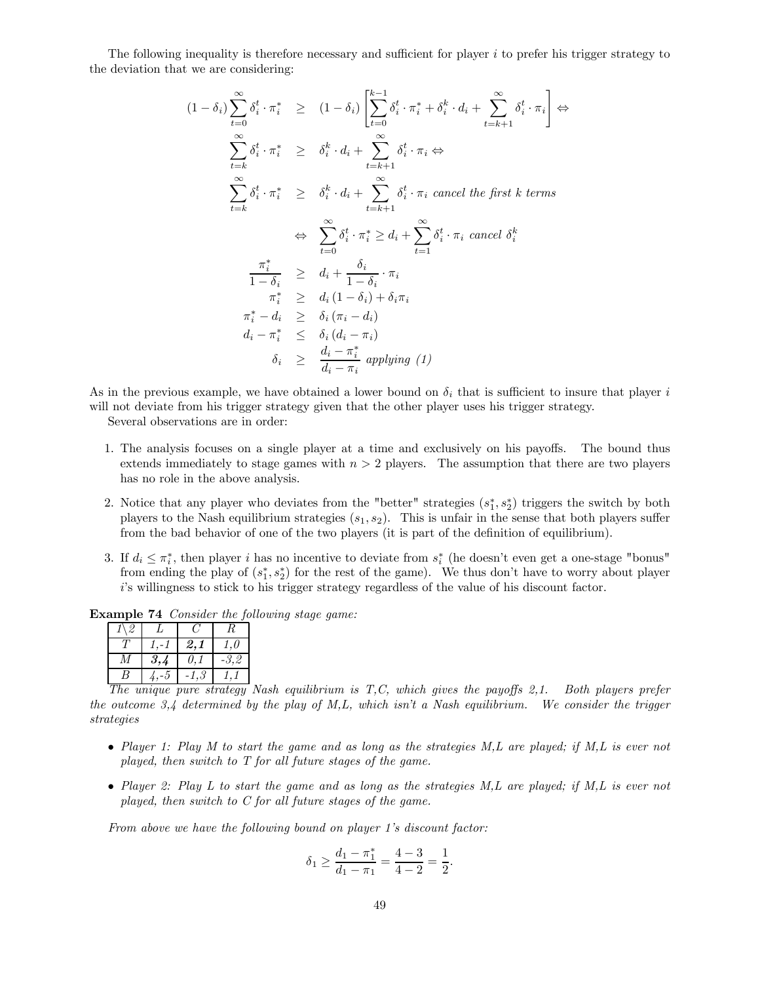The following inequality is therefore necessary and sufficient for player  $i$  to prefer his trigger strategy to the deviation that we are considering:

$$
(1 - \delta_i) \sum_{t=0}^{\infty} \delta_i^t \cdot \pi_i^* \geq (1 - \delta_i) \left[ \sum_{t=0}^{k-1} \delta_i^t \cdot \pi_i^* + \delta_i^k \cdot d_i + \sum_{t=k+1}^{\infty} \delta_i^t \cdot \pi_i \right] \Leftrightarrow
$$
  
\n
$$
\sum_{t=k}^{\infty} \delta_i^t \cdot \pi_i^* \geq \delta_i^k \cdot d_i + \sum_{t=k+1}^{\infty} \delta_i^t \cdot \pi_i \Leftrightarrow
$$
  
\n
$$
\sum_{t=k}^{\infty} \delta_i^t \cdot \pi_i^* \geq \delta_i^k \cdot d_i + \sum_{t=k+1}^{\infty} \delta_i^t \cdot \pi_i \text{ cancel the first } k \text{ terms}
$$
  
\n
$$
\Leftrightarrow \sum_{t=0}^{\infty} \delta_i^t \cdot \pi_i^* \geq d_i + \sum_{t=1}^{\infty} \delta_i^t \cdot \pi_i \text{ cancel } \delta_i^k
$$
  
\n
$$
\frac{\pi_i^*}{1 - \delta_i} \geq d_i + \frac{\delta_i}{1 - \delta_i} \cdot \pi_i
$$
  
\n
$$
\pi_i^* \geq d_i (1 - \delta_i) + \delta_i \pi_i
$$
  
\n
$$
\pi_i^* - d_i \geq \delta_i (\pi_i - d_i)
$$
  
\n
$$
d_i - \pi_i^* \leq \delta_i (d_i - \pi_i)
$$
  
\n
$$
\delta_i \geq \frac{d_i - \pi_i^*}{d_i - \pi_i} \text{ applying (1)}
$$

As in the previous example, we have obtained a lower bound on  $\delta_i$  that is sufficient to insure that player i will not deviate from his trigger strategy given that the other player uses his trigger strategy.

Several observations are in order:

- 1. The analysis focuses on a single player at a time and exclusively on his payoffs. The bound thus extends immediately to stage games with  $n > 2$  players. The assumption that there are two players has no role in the above analysis.
- 2. Notice that any player who deviates from the "better" strategies  $(s_1^*, s_2^*)$  triggers the switch by both players to the Nash equilibrium strategies  $(s_1, s_2)$ . This is unfair in the sense that both players suffer from the bad behavior of one of the two players (it is part of the definition of equilibrium).
- 3. If  $d_i \leq \pi_i^*$ , then player *i* has no incentive to deviate from  $s_i^*$  (he doesn't even get a one-stage "bonus" from ending the play of  $(s_1^*, s_2^*)$  for the rest of the game). We thus don't have to worry about player 's willingness to stick to his trigger strategy regardless of the value of his discount factor.

Example 74 Consider the following stage game:

| ッ |     |           |           |
|---|-----|-----------|-----------|
|   |     | $\it 2,1$ | $\cdot$ 0 |
|   | 3,4 | 0,1       | -3,2      |
| Ч |     |           |           |

The unique pure strategy Nash equilibrium is  $T, C$ , which gives the payoffs 2,1. Both players prefer the outcome 3,4 determined by the play of M,L, which isn't a Nash equilibrium. We consider the trigger strategies

- Player 1: Play M to start the game and as long as the strategies M, L are played; if M, L is ever not played, then switch to T for all future stages of the game.
- Player 2: Play L to start the game and as long as the strategies M, L are played; if M, L is ever not played, then switch to C for all future stages of the game.

From above we have the following bound on player 1's discount factor:

$$
\delta_1 \ge \frac{d_1 - \pi_1^*}{d_1 - \pi_1} = \frac{4 - 3}{4 - 2} = \frac{1}{2}.
$$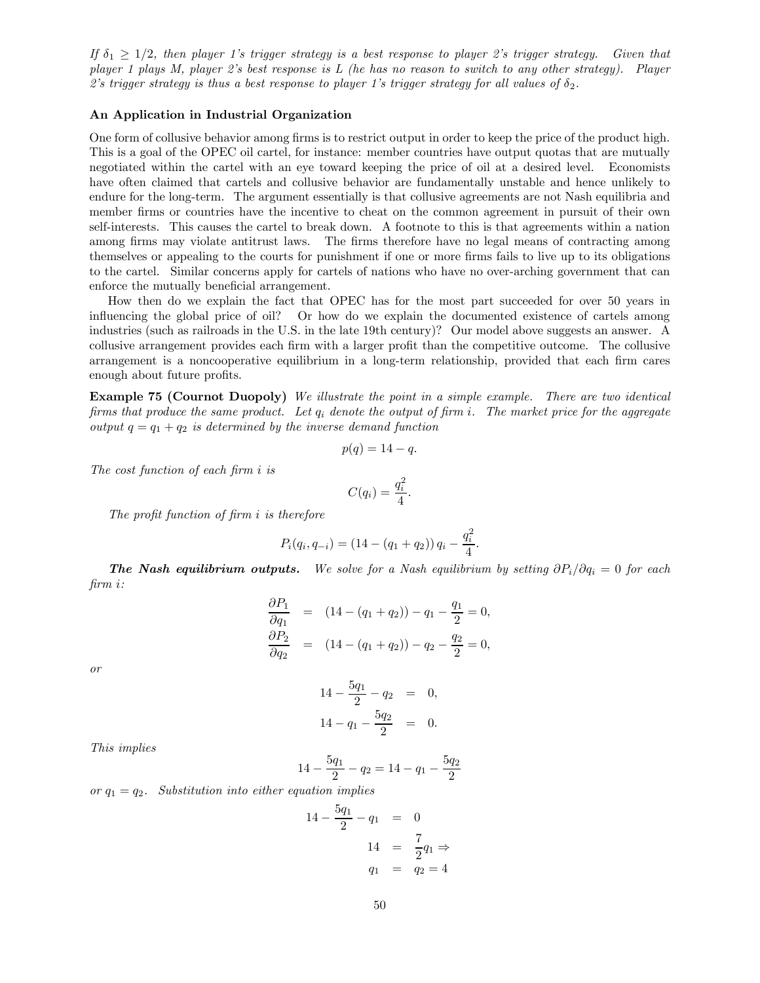If  $\delta_1 \geq 1/2$ , then player 1's trigger strategy is a best response to player 2's trigger strategy. Given that player 1 plays M, player 2's best response is L (he has no reason to switch to any other strategy). Player 2's trigger strategy is thus a best response to player 1's trigger strategy for all values of  $\delta_2$ .

## An Application in Industrial Organization

One form of collusive behavior among firms is to restrict output in order to keep the price of the product high. This is a goal of the OPEC oil cartel, for instance: member countries have output quotas that are mutually negotiated within the cartel with an eye toward keeping the price of oil at a desired level. Economists have often claimed that cartels and collusive behavior are fundamentally unstable and hence unlikely to endure for the long-term. The argument essentially is that collusive agreements are not Nash equilibria and member firms or countries have the incentive to cheat on the common agreement in pursuit of their own self-interests. This causes the cartel to break down. A footnote to this is that agreements within a nation among firms may violate antitrust laws. The firms therefore have no legal means of contracting among themselves or appealing to the courts for punishment if one or more firms fails to live up to its obligations to the cartel. Similar concerns apply for cartels of nations who have no over-arching government that can enforce the mutually beneficial arrangement.

How then do we explain the fact that OPEC has for the most part succeeded for over 50 years in influencing the global price of oil? Or how do we explain the documented existence of cartels among industries (such as railroads in the U.S. in the late 19th century)? Our model above suggests an answer. A collusive arrangement provides each firm with a larger profit than the competitive outcome. The collusive arrangement is a noncooperative equilibrium in a long-term relationship, provided that each firm cares enough about future profits.

Example 75 (Cournot Duopoly) We illustrate the point in a simple example. There are two identical firms that produce the same product. Let  $q_i$  denote the output of firm i. The market price for the aggregate output  $q = q_1 + q_2$  is determined by the inverse demand function

$$
p(q) = 14 - q.
$$

The cost function of each firm  $i$  is

$$
C(q_i) = \frac{q_i^2}{4}.
$$

The profit function of firm  $i$  is therefore

$$
P_i(q_i, q_{-i}) = (14 - (q_1 + q_2)) q_i - \frac{q_i^2}{4}.
$$

**The Nash equilibrium outputs.** We solve for a Nash equilibrium by setting  $\partial P_i/\partial q_i = 0$  for each firm *i*:

$$
\frac{\partial P_1}{\partial q_1} = (14 - (q_1 + q_2)) - q_1 - \frac{q_1}{2} = 0,
$$
  
\n
$$
\frac{\partial P_2}{\partial q_2} = (14 - (q_1 + q_2)) - q_2 - \frac{q_2}{2} = 0,
$$

or

$$
14 - \frac{5q_1}{2} - q_2 = 0,
$$
  

$$
14 - q_1 - \frac{5q_2}{2} = 0.
$$

This implies

$$
14 - \frac{5q_1}{2} - q_2 = 14 - q_1 - \frac{5q_2}{2}
$$

or  $q_1 = q_2$ . Substitution into either equation implies

$$
14 - \frac{5q_1}{2} - q_1 = 0
$$
  

$$
14 = \frac{7}{2}q_1 \Rightarrow
$$
  

$$
q_1 = q_2 = 4
$$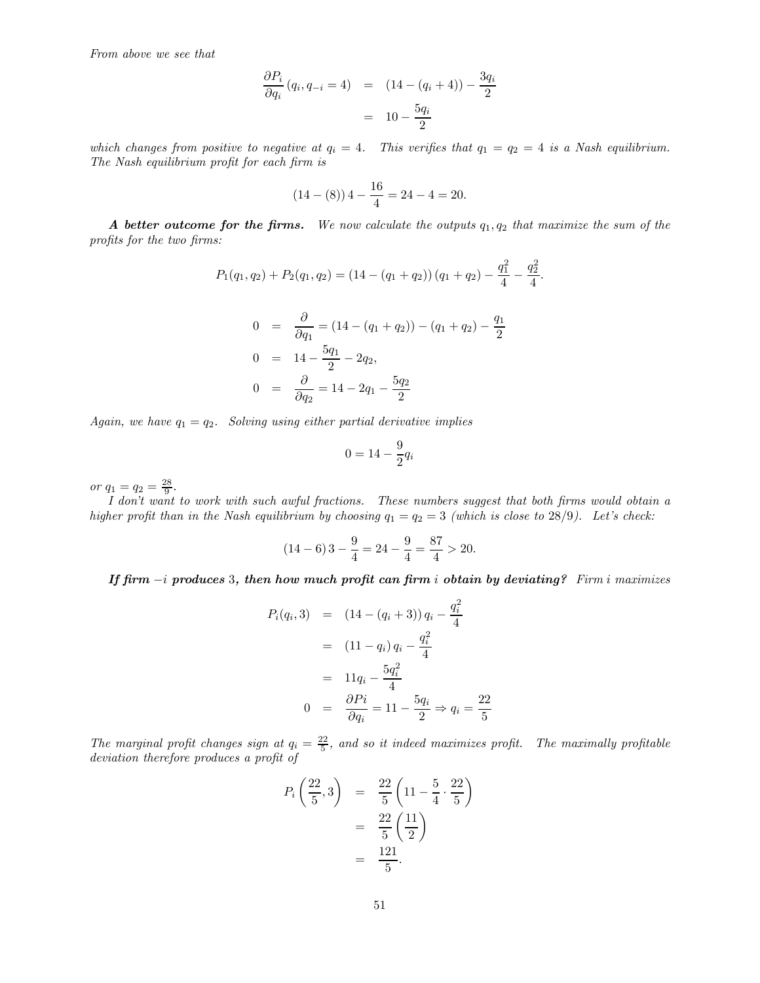From above we see that

$$
\frac{\partial P_i}{\partial q_i} (q_i, q_{-i} = 4) = (14 - (q_i + 4)) - \frac{3q_i}{2}
$$

$$
= 10 - \frac{5q_i}{2}
$$

which changes from positive to negative at  $q_i = 4$ . This verifies that  $q_1 = q_2 = 4$  is a Nash equilibrium. The Nash equilibrium profit for each firm is

$$
(14 - (8)) 4 - \frac{16}{4} = 24 - 4 = 20.
$$

A better outcome for the firms. We now calculate the outputs  $q_1, q_2$  that maximize the sum of the profits for the two firms:

$$
P_1(q_1, q_2) + P_2(q_1, q_2) = (14 - (q_1 + q_2)) (q_1 + q_2) - \frac{q_1^2}{4} - \frac{q_2^2}{4}.
$$
  

$$
0 = \frac{\partial}{\partial q_1} = (14 - (q_1 + q_2)) - (q_1 + q_2) - \frac{q_1}{2}
$$
  

$$
0 = 14 - \frac{5q_1}{2} - 2q_2,
$$

$$
0 = \frac{\partial}{\partial q_2} = 14 - 2q_1 - \frac{5q_2}{2}
$$

Again, we have  $q_1 = q_2$ . Solving using either partial derivative implies

$$
0 = 14 - \frac{9}{2}q_i
$$

or  $q_1 = q_2 = \frac{28}{9}$ .

I don't want to work with such awful fractions. These numbers suggest that both firms would obtain a higher profit than in the Nash equilibrium by choosing  $q_1 = q_2 = 3$  (which is close to 28/9). Let's check:

$$
(14-6)3 - \frac{9}{4} = 24 - \frac{9}{4} = \frac{87}{4} > 20.
$$

If firm  $-i$  produces 3, then how much profit can firm i obtain by deviating? Firm i maximizes

$$
P_i(q_i,3) = (14 - (q_i + 3)) q_i - \frac{q_i^2}{4}
$$
  
=  $(11 - q_i) q_i - \frac{q_i^2}{4}$   
=  $11q_i - \frac{5q_i^2}{4}$   
 $0 = \frac{\partial P_i}{\partial q_i} = 11 - \frac{5q_i}{2} \Rightarrow q_i = \frac{22}{5}$ 

The marginal profit changes sign at  $q_i = \frac{22}{5}$ , and so it indeed maximizes profit. The maximally profitable deviation therefore produces a profit of

$$
P_i\left(\frac{22}{5},3\right) = \frac{22}{5}\left(11 - \frac{5}{4} \cdot \frac{22}{5}\right)
$$
  
=  $\frac{22}{5}\left(\frac{11}{2}\right)$   
=  $\frac{121}{5}$ .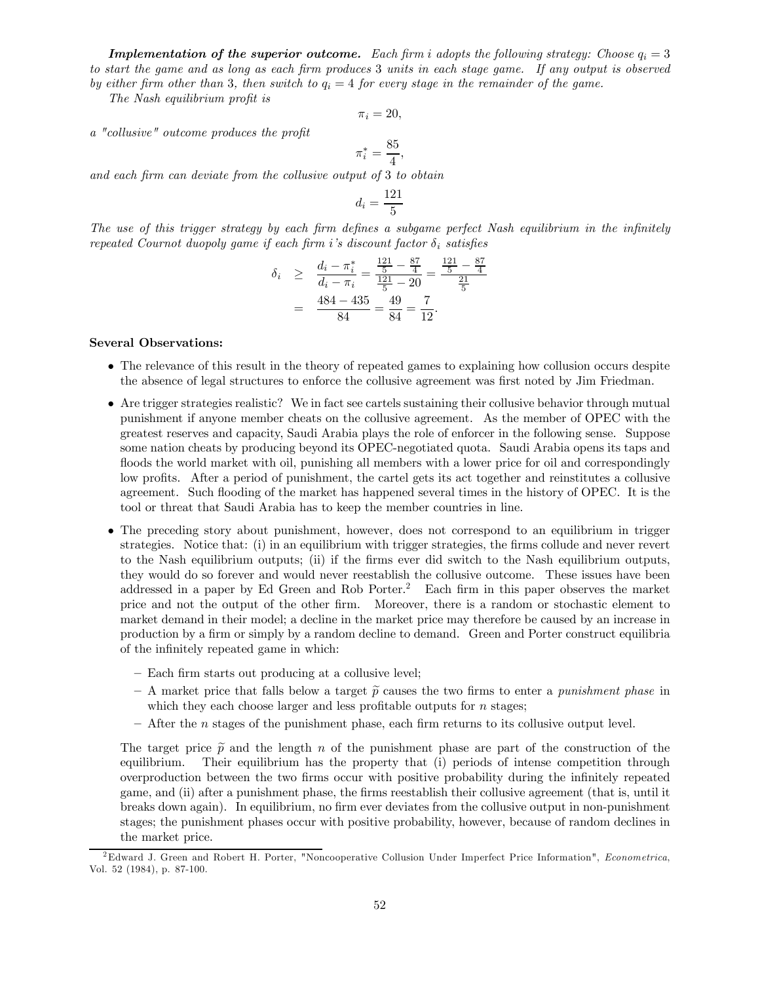**Implementation of the superior outcome.** Each firm i adopts the following strategy: Choose  $q_i = 3$ to start the game and as long as each firm produces 3 units in each stage game. If any output is observed by either firm other than 3, then switch to  $q_i = 4$  for every stage in the remainder of the game.

The Nash equilibrium profit is

$$
\pi_i=20,
$$

a "collusive" outcome produces the profit

$$
\pi_i^* = \frac{85}{4},
$$

and each firm can deviate from the collusive output of 3 to obtain

$$
d_i = \frac{121}{5}
$$

The use of this trigger strategy by each firm defines a subgame perfect Nash equilibrium in the infinitely repeated Cournot duopoly game if each firm i's discount factor  $\delta_i$  satisfies

$$
\delta_i \ge \frac{d_i - \pi_i^*}{d_i - \pi_i} = \frac{\frac{121}{5} - \frac{87}{4}}{\frac{121}{5} - 20} = \frac{\frac{121}{5} - \frac{87}{4}}{\frac{21}{5}}
$$

$$
= \frac{484 - 435}{84} = \frac{49}{84} = \frac{7}{12}.
$$

### Several Observations:

- The relevance of this result in the theory of repeated games to explaining how collusion occurs despite the absence of legal structures to enforce the collusive agreement was first noted by Jim Friedman.
- Are trigger strategies realistic? We in fact see cartels sustaining their collusive behavior through mutual punishment if anyone member cheats on the collusive agreement. As the member of OPEC with the greatest reserves and capacity, Saudi Arabia plays the role of enforcer in the following sense. Suppose some nation cheats by producing beyond its OPEC-negotiated quota. Saudi Arabia opens its taps and floods the world market with oil, punishing all members with a lower price for oil and correspondingly low profits. After a period of punishment, the cartel gets its act together and reinstitutes a collusive agreement. Such flooding of the market has happened several times in the history of OPEC. It is the tool or threat that Saudi Arabia has to keep the member countries in line.
- The preceding story about punishment, however, does not correspond to an equilibrium in trigger strategies. Notice that: (i) in an equilibrium with trigger strategies, the firms collude and never revert to the Nash equilibrium outputs; (ii) if the firms ever did switch to the Nash equilibrium outputs, they would do so forever and would never reestablish the collusive outcome. These issues have been addressed in a paper by Ed Green and Rob Porter.2 Each firm in this paper observes the market price and not the output of the other firm. Moreover, there is a random or stochastic element to market demand in their model; a decline in the market price may therefore be caused by an increase in production by a firm or simply by a random decline to demand. Green and Porter construct equilibria of the infinitely repeated game in which:
	- Each firm starts out producing at a collusive level;
	- A market price that falls below a target  $\tilde{p}$  causes the two firms to enter a *punishment phase* in which they each choose larger and less profitable outputs for  $n$  stages;
	- $-$  After the *n* stages of the punishment phase, each firm returns to its collusive output level.

The target price  $\tilde{p}$  and the length *n* of the punishment phase are part of the construction of the equilibrium. Their equilibrium has the property that (i) periods of intense competition through Their equilibrium has the property that (i) periods of intense competition through overproduction between the two firms occur with positive probability during the infinitely repeated game, and (ii) after a punishment phase, the firms reestablish their collusive agreement (that is, until it breaks down again). In equilibrium, no firm ever deviates from the collusive output in non-punishment stages; the punishment phases occur with positive probability, however, because of random declines in the market price.

<sup>&</sup>lt;sup>2</sup>Edward J. Green and Robert H. Porter, "Noncooperative Collusion Under Imperfect Price Information", Econometrica, Vol. 52 (1984), p. 87-100.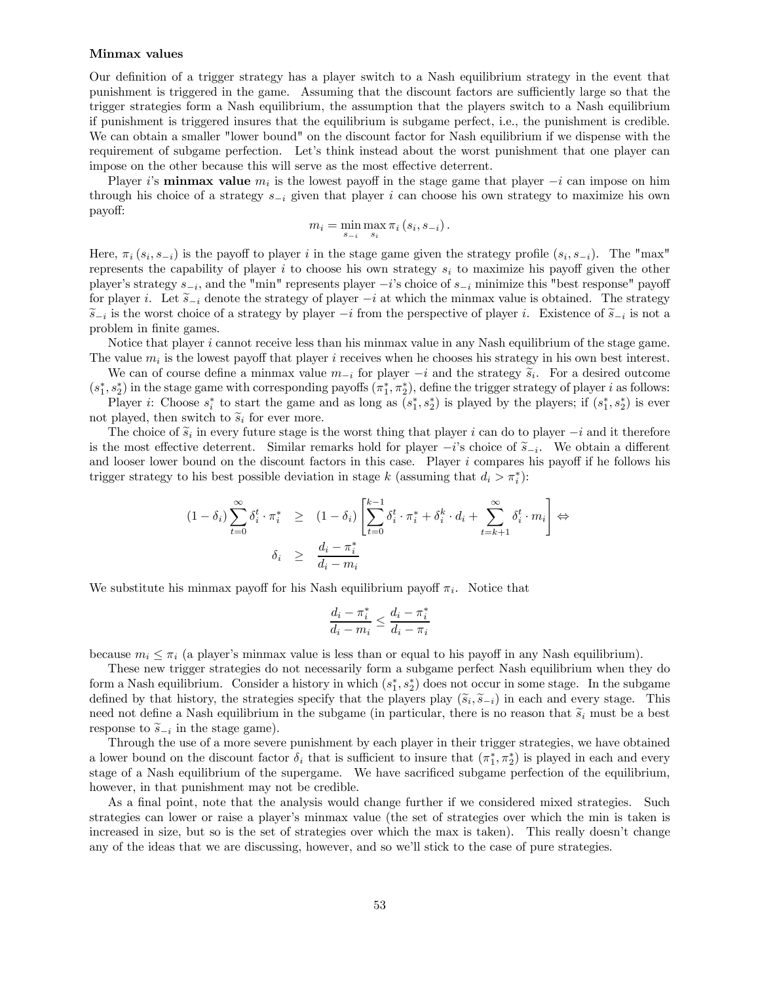#### Minmax values

Our definition of a trigger strategy has a player switch to a Nash equilibrium strategy in the event that punishment is triggered in the game. Assuming that the discount factors are sufficiently large so that the trigger strategies form a Nash equilibrium, the assumption that the players switch to a Nash equilibrium if punishment is triggered insures that the equilibrium is subgame perfect, i.e., the punishment is credible. We can obtain a smaller "lower bound" on the discount factor for Nash equilibrium if we dispense with the requirement of subgame perfection. Let's think instead about the worst punishment that one player can impose on the other because this will serve as the most effective deterrent.

Player i's **minmax value**  $m_i$  is the lowest payoff in the stage game that player  $-i$  can impose on him through his choice of a strategy  $s_{-i}$  given that player i can choose his own strategy to maximize his own payoff:

$$
m_i = \min_{s_{-i}} \max_{s_i} \pi_i (s_i, s_{-i}).
$$

Here,  $\pi_i(s_i, s_{-i})$  is the payoff to player *i* in the stage game given the strategy profile  $(s_i, s_{-i})$ . The "max" represents the capability of player i to choose his own strategy  $s_i$  to maximize his payoff given the other player's strategy  $s_{-i}$ , and the "min" represents player  $-i$ 's choice of  $s_{-i}$  minimize this "best response" payoff for player i. Let  $\widetilde{s}_{-i}$  denote the strategy of player  $-i$  at which the minmax value is obtained. The strategy  $\widetilde{s}_{-i}$  is the worst choice of a strategy by player  $-i$  from the perspective of player i. Existence of  $\widetilde{s}_{-i}$  is not a problem in finite games.

Notice that player  $i$  cannot receive less than his minmax value in any Nash equilibrium of the stage game. The value  $m_i$  is the lowest payoff that player i receives when he chooses his strategy in his own best interest.

We can of course define a minmax value  $m_{-i}$  for player  $-i$  and the strategy  $\tilde{s}_i$ . For a desired outcome  $(s_1^*, s_2^*)$  in the stage game with corresponding payoffs  $(\pi_1^*, \pi_2^*)$ , define the trigger strategy of player *i* as follows:

Player *i*: Choose  $s_i^*$  to start the game and as long as  $(s_1^*, s_2^*)$  is played by the players; if  $(s_1^*, s_2^*)$  is ever not played, then switch to  $\tilde{s}_i$  for ever more.

The choice of  $\tilde{s}_i$  in every future stage is the worst thing that player *i* can do to player  $-i$  and it therefore is the most effective deterrent. Similar remarks hold for player  $-i$ 's choice of  $\tilde{s}_{-i}$ . We obtain a different and looser lower bound on the discount factors in this case. Player  $i$  compares his payoff if he follows his trigger strategy to his best possible deviation in stage k (assuming that  $d_i > \pi_i^*$ ):

$$
(1 - \delta_i) \sum_{t=0}^{\infty} \delta_i^t \cdot \pi_i^* \ge (1 - \delta_i) \left[ \sum_{t=0}^{k-1} \delta_i^t \cdot \pi_i^* + \delta_i^k \cdot d_i + \sum_{t=k+1}^{\infty} \delta_i^t \cdot m_i \right] \Leftrightarrow
$$

$$
\delta_i \ge \frac{d_i - \pi_i^*}{d_i - m_i}
$$

We substitute his minmax payoff for his Nash equilibrium payoff  $\pi_i$ . Notice that

$$
\frac{d_i - \pi_i^*}{d_i - m_i} \le \frac{d_i - \pi_i^*}{d_i - \pi_i}
$$

because  $m_i \leq \pi_i$  (a player's minmax value is less than or equal to his payoff in any Nash equilibrium).

These new trigger strategies do not necessarily form a subgame perfect Nash equilibrium when they do form a Nash equilibrium. Consider a history in which  $(s_1^*, s_2^*)$  does not occur in some stage. In the subgame defined by that history, the strategies specify that the players play  $(\widetilde{s}_i, \widetilde{s}_{-i})$  in each and every stage. This need not define a Nash equilibrium in the subgame (in particular, there is no reason that  $\tilde{s}_i$  must be a best response to  $\tilde{s}_{-i}$  in the stage game).

Through the use of a more severe punishment by each player in their trigger strategies, we have obtained a lower bound on the discount factor  $\delta_i$  that is sufficient to insure that  $(\pi_1^*, \pi_2^*)$  is played in each and every stage of a Nash equilibrium of the supergame. We have sacrificed subgame perfection of the equilibrium, however, in that punishment may not be credible.

As a final point, note that the analysis would change further if we considered mixed strategies. Such strategies can lower or raise a player's minmax value (the set of strategies over which the min is taken is increased in size, but so is the set of strategies over which the max is taken). This really doesn't change any of the ideas that we are discussing, however, and so we'll stick to the case of pure strategies.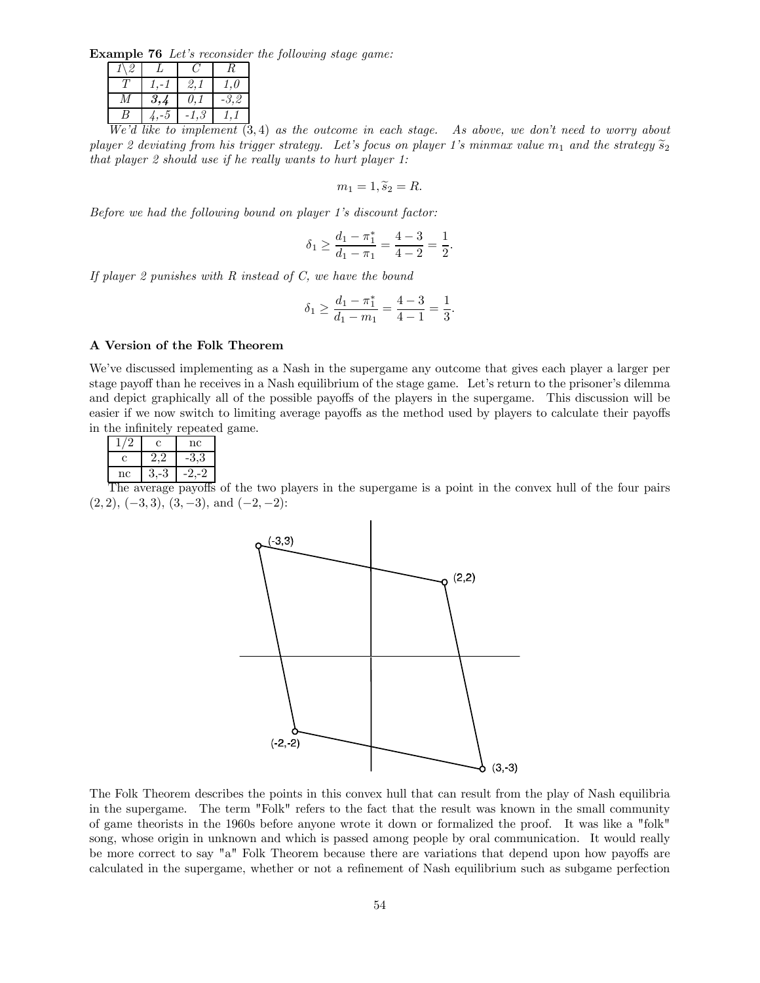Example 76 Let's reconsider the following stage game:

|              |  | 3., | U. |  |  |
|--------------|--|-----|----|--|--|
|              |  |     |    |  |  |
| 117.2.1.1:1. |  |     |    |  |  |

We'd like to implement  $(3, 4)$  as the outcome in each stage. As above, we don't need to worry about player 2 deviating from his trigger strategy. Let's focus on player 1's minmax value  $m_1$  and the strategy  $\widetilde{s}_2$ that player 2 should use if he really wants to hurt player 1:

 $m_1 = 1, \tilde{s}_2 = R.$ 

Before we had the following bound on player 1's discount factor:

$$
\delta_1 \ge \frac{d_1 - \pi_1^*}{d_1 - \pi_1} = \frac{4 - 3}{4 - 2} = \frac{1}{2}.
$$

If player 2 punishes with  $R$  instead of  $C$ , we have the bound

$$
\delta_1 \ge \frac{d_1 - \pi_1^*}{d_1 - m_1} = \frac{4 - 3}{4 - 1} = \frac{1}{3}.
$$

### A Version of the Folk Theorem

We've discussed implementing as a Nash in the supergame any outcome that gives each player a larger per stage payoff than he receives in a Nash equilibrium of the stage game. Let's return to the prisoner's dilemma and depict graphically all of the possible payoffs of the players in the supergame. This discussion will be easier if we now switch to limiting average payoffs as the method used by players to calculate their payoffs in the infinitely repeated game.

|    | IT. | nc |
|----|-----|----|
| C  |     | ت. |
| nc |     |    |

The average payoffs of the two players in the supergame is a point in the convex hull of the four pairs  $(2, 2), (-3, 3), (3, -3), \text{ and } (-2, -2)$ :



The Folk Theorem describes the points in this convex hull that can result from the play of Nash equilibria in the supergame. The term "Folk" refers to the fact that the result was known in the small community of game theorists in the 1960s before anyone wrote it down or formalized the proof. It was like a "folk" song, whose origin in unknown and which is passed among people by oral communication. It would really be more correct to say "a" Folk Theorem because there are variations that depend upon how payoffs are calculated in the supergame, whether or not a refinement of Nash equilibrium such as subgame perfection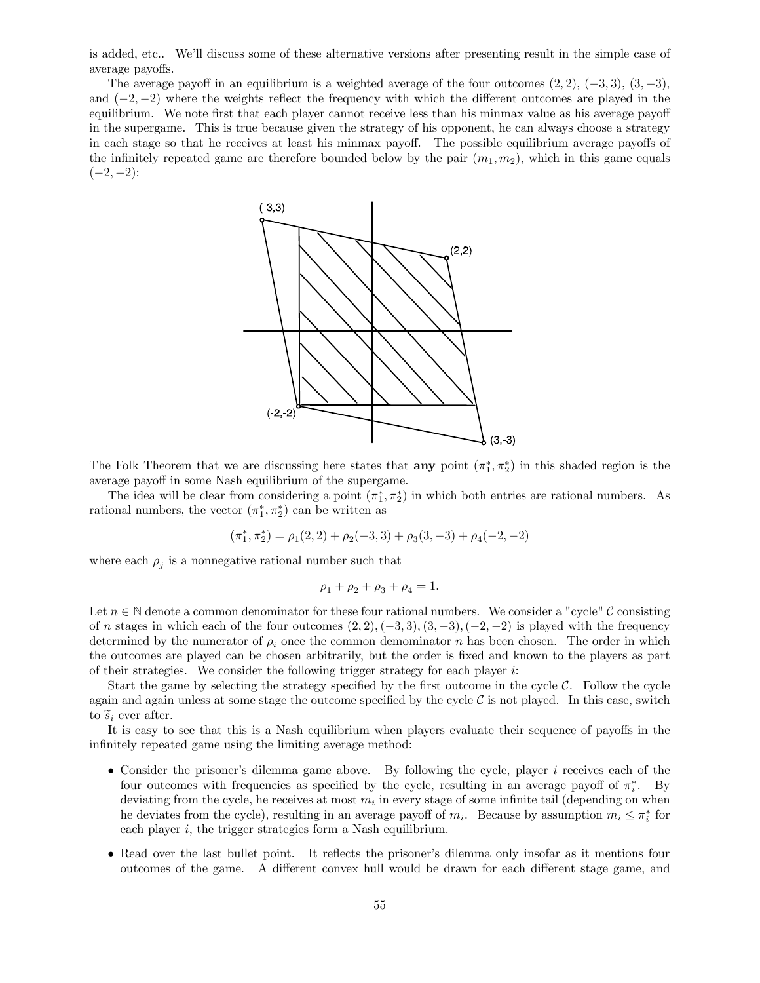is added, etc.. We'll discuss some of these alternative versions after presenting result in the simple case of average payoffs.

The average payoff in an equilibrium is a weighted average of the four outcomes  $(2, 2)$ ,  $(-3, 3)$ ,  $(3, -3)$ , and  $(-2, -2)$  where the weights reflect the frequency with which the different outcomes are played in the equilibrium. We note first that each player cannot receive less than his minmax value as his average payoff in the supergame. This is true because given the strategy of his opponent, he can always choose a strategy in each stage so that he receives at least his minmax payoff. The possible equilibrium average payoffs of the infinitely repeated game are therefore bounded below by the pair  $(m_1, m_2)$ , which in this game equals  $(-2, -2)$ :



The Folk Theorem that we are discussing here states that **any** point  $(\pi_1^*, \pi_2^*)$  in this shaded region is the average payoff in some Nash equilibrium of the supergame.

The idea will be clear from considering a point  $(\pi_1^*, \pi_2^*)$  in which both entries are rational numbers. As rational numbers, the vector  $(\pi_1^*, \pi_2^*)$  can be written as

$$
(\pi_1^*, \pi_2^*) = \rho_1(2, 2) + \rho_2(-3, 3) + \rho_3(3, -3) + \rho_4(-2, -2)
$$

where each  $\rho_i$  is a nonnegative rational number such that

$$
\rho_1 + \rho_2 + \rho_3 + \rho_4 = 1.
$$

Let  $n \in \mathbb{N}$  denote a common denominator for these four rational numbers. We consider a "cycle" C consisting of *n* stages in which each of the four outcomes  $(2, 2), (-3, 3), (3, -3), (-2, -2)$  is played with the frequency determined by the numerator of  $\rho_i$  once the common demominator *n* has been chosen. The order in which the outcomes are played can be chosen arbitrarily, but the order is fixed and known to the players as part of their strategies. We consider the following trigger strategy for each player  $i$ :

Start the game by selecting the strategy specified by the first outcome in the cycle  $C$ . Follow the cycle again and again unless at some stage the outcome specified by the cycle  $\mathcal C$  is not played. In this case, switch to  $\widetilde{s}_i$  ever after.

It is easy to see that this is a Nash equilibrium when players evaluate their sequence of payoffs in the infinitely repeated game using the limiting average method:

- Consider the prisoner's dilemma game above. By following the cycle, player *i* receives each of the four outcomes with frequencies as specified by the cycle, resulting in an average payoff of  $\pi_i^*$ . By deviating from the cycle, he receives at most  $m_i$  in every stage of some infinite tail (depending on when he deviates from the cycle), resulting in an average payoff of  $m_i$ . Because by assumption  $m_i \leq \pi_i^*$  for each player  $i$ , the trigger strategies form a Nash equilibrium.
- Read over the last bullet point. It reflects the prisoner's dilemma only insofar as it mentions four outcomes of the game. A different convex hull would be drawn for each different stage game, and